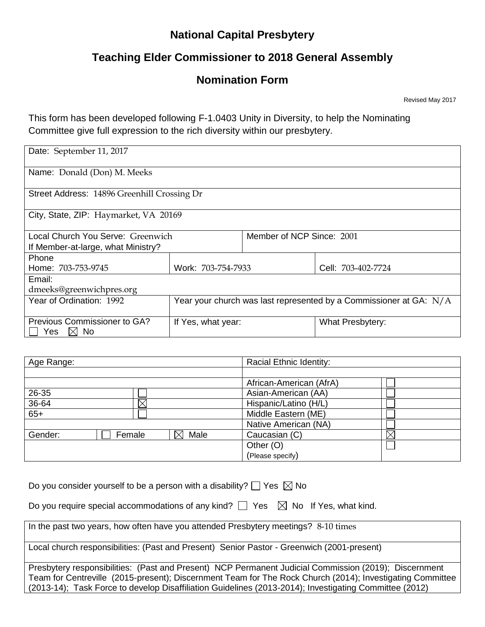## **National Capital Presbytery**

# **Teaching Elder Commissioner to 2018 General Assembly**

## **Nomination Form**

Revised May 2017

This form has been developed following F-1.0403 Unity in Diversity, to help the Nominating Committee give full expression to the rich diversity within our presbytery.

| Date: September 11, 2017                              |                                                                    |                           |                         |  |  |
|-------------------------------------------------------|--------------------------------------------------------------------|---------------------------|-------------------------|--|--|
| Name: Donald (Don) M. Meeks                           |                                                                    |                           |                         |  |  |
| Street Address: 14896 Greenhill Crossing Dr           |                                                                    |                           |                         |  |  |
| City, State, ZIP: Haymarket, VA 20169                 |                                                                    |                           |                         |  |  |
| Local Church You Serve: Greenwich                     |                                                                    | Member of NCP Since: 2001 |                         |  |  |
| If Member-at-large, what Ministry?                    |                                                                    |                           |                         |  |  |
| Phone                                                 |                                                                    |                           |                         |  |  |
| Home: 703-753-9745                                    | Work: 703-754-7933                                                 |                           | Cell: 703-402-7724      |  |  |
| Email:                                                |                                                                    |                           |                         |  |  |
| dmeeks@greenwichpres.org                              |                                                                    |                           |                         |  |  |
| Year of Ordination: 1992                              | Year your church was last represented by a Commissioner at GA: N/A |                           |                         |  |  |
| Previous Commissioner to GA?<br>$\boxtimes$ No<br>Yes | If Yes, what year:                                                 |                           | <b>What Presbytery:</b> |  |  |

| Age Range: |          |      | Racial Ethnic Identity: |         |
|------------|----------|------|-------------------------|---------|
|            |          |      |                         |         |
|            |          |      | African-American (AfrA) |         |
| 26-35      |          |      | Asian-American (AA)     |         |
| 36-64      | $\times$ |      | Hispanic/Latino (H/L)   |         |
| $65+$      |          |      | Middle Eastern (ME)     |         |
|            |          |      | Native American (NA)    |         |
| Gender:    | Female   | Male | Caucasian (C)           | $\Join$ |
|            |          |      | Other (O)               |         |
|            |          |      | (Please specify)        |         |

|  | Do you consider yourself to be a person with a disability? $\Box$ Yes $\boxtimes$ No |  |  |
|--|--------------------------------------------------------------------------------------|--|--|
|  |                                                                                      |  |  |

Do you require special accommodations of any kind?  $\Box$  Yes  $\boxtimes$  No If Yes, what kind.

In the past two years, how often have you attended Presbytery meetings? 8-10 times

Local church responsibilities: (Past and Present) Senior Pastor - Greenwich (2001-present)

Presbytery responsibilities: (Past and Present) NCP Permanent Judicial Commission (2019); Discernment Team for Centreville (2015-present); Discernment Team for The Rock Church (2014); Investigating Committee (2013-14); Task Force to develop Disaffiliation Guidelines (2013-2014); Investigating Committee (2012)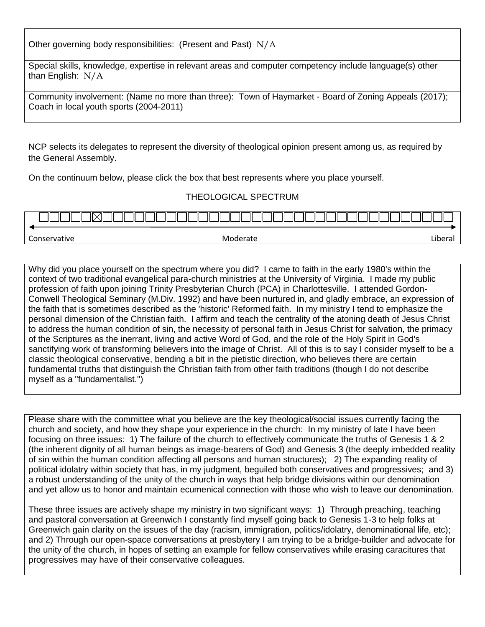Other governing body responsibilities: (Present and Past) N/A

Special skills, knowledge, expertise in relevant areas and computer competency include language(s) other than English: N/A

|                                         | Community involvement: (Name no more than three): Town of Haymarket - Board of Zoning Appeals (2017); |
|-----------------------------------------|-------------------------------------------------------------------------------------------------------|
| Coach in local youth sports (2004-2011) |                                                                                                       |

NCP selects its delegates to represent the diversity of theological opinion present among us, as required by the General Assembly.

On the continuum below, please click the box that best represents where you place yourself.

#### THEOLOGICAL SPECTRUM



Why did you place yourself on the spectrum where you did? I came to faith in the early 1980's within the context of two traditional evangelical para-church ministries at the University of Virginia. I made my public profession of faith upon joining Trinity Presbyterian Church (PCA) in Charlottesville. I attended Gordon-Conwell Theological Seminary (M.Div. 1992) and have been nurtured in, and gladly embrace, an expression of the faith that is sometimes described as the 'historic' Reformed faith. In my ministry I tend to emphasize the personal dimension of the Christian faith. I affirm and teach the centrality of the atoning death of Jesus Christ to address the human condition of sin, the necessity of personal faith in Jesus Christ for salvation, the primacy of the Scriptures as the inerrant, living and active Word of God, and the role of the Holy Spirit in God's sanctifying work of transforming believers into the image of Christ. All of this is to say I consider myself to be a classic theological conservative, bending a bit in the pietistic direction, who believes there are certain fundamental truths that distinguish the Christian faith from other faith traditions (though I do not describe myself as a "fundamentalist.")

Please share with the committee what you believe are the key theological/social issues currently facing the church and society, and how they shape your experience in the church: In my ministry of late I have been focusing on three issues: 1) The failure of the church to effectively communicate the truths of Genesis 1 & 2 (the inherent dignity of all human beings as image-bearers of God) and Genesis 3 (the deeply imbedded reality of sin within the human condition affecting all persons and human structures); 2) The expanding reality of political idolatry within society that has, in my judgment, beguiled both conservatives and progressives; and 3) a robust understanding of the unity of the church in ways that help bridge divisions within our denomination and yet allow us to honor and maintain ecumenical connection with those who wish to leave our denomination.

These three issues are actively shape my ministry in two significant ways: 1) Through preaching, teaching and pastoral conversation at Greenwich I constantly find myself going back to Genesis 1-3 to help folks at Greenwich gain clarity on the issues of the day (racism, immigration, politics/idolatry, denominational life, etc); and 2) Through our open-space conversations at presbytery I am trying to be a bridge-builder and advocate for the unity of the church, in hopes of setting an example for fellow conservatives while erasing caracitures that progressives may have of their conservative colleagues.